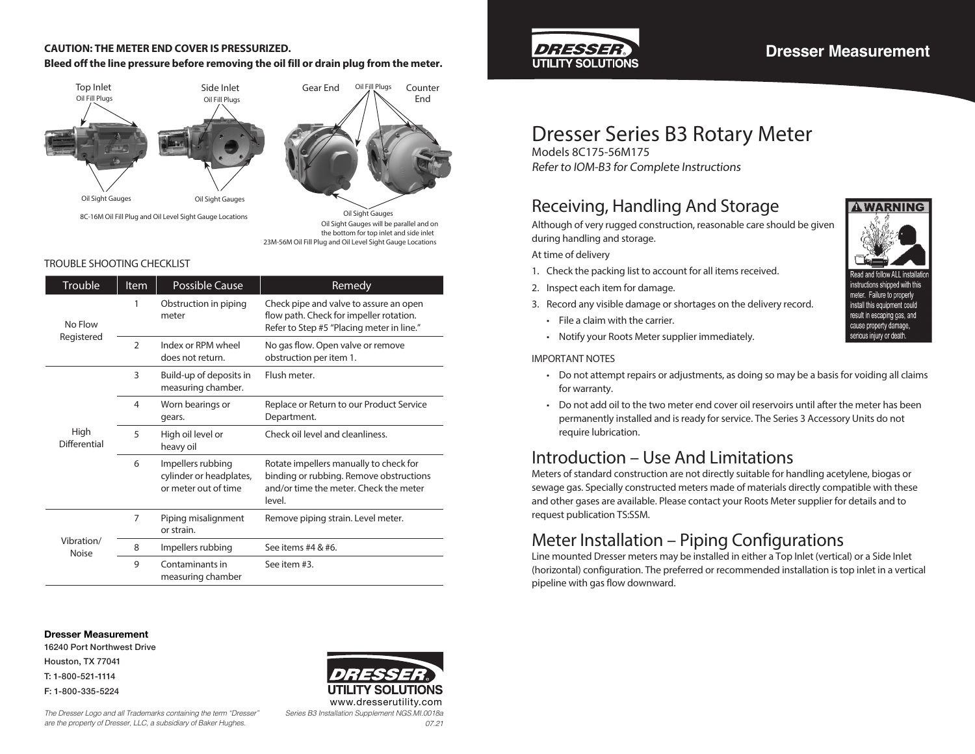### **CAUTION: THE METER END COVER IS PRESSURIZED.**

### **Bleed off the line pressure before removing the oil fill or drain plug from the meter.**



23M-56M Oil Fill Plug and Oil Level Sight Gauge Locations Oil Sight Gauges will be parallel and on the bottom for top inlet and side inlet

### TROUBLE SHOOTING CHECKLIST

| Trouble                    | <b>Item</b>    | Possible Cause                                                       | Remedy                                                                                                                                |
|----------------------------|----------------|----------------------------------------------------------------------|---------------------------------------------------------------------------------------------------------------------------------------|
| No Flow<br>Registered      | 1              | Obstruction in piping<br>meter                                       | Check pipe and valve to assure an open<br>flow path. Check for impeller rotation.<br>Refer to Step #5 "Placing meter in line."        |
|                            | $\mathfrak{D}$ | Index or RPM wheel<br>does not return.                               | No gas flow. Open valve or remove<br>obstruction per item 1.                                                                          |
| High<br>Differential       | 3              | Build-up of deposits in<br>measuring chamber.                        | Flush meter.                                                                                                                          |
|                            | 4              | Worn bearings or<br>gears.                                           | Replace or Return to our Product Service<br>Department.                                                                               |
|                            | 5              | High oil level or<br>heavy oil                                       | Check oil level and cleanliness.                                                                                                      |
|                            | 6              | Impellers rubbing<br>cylinder or headplates,<br>or meter out of time | Rotate impellers manually to check for<br>binding or rubbing. Remove obstructions<br>and/or time the meter. Check the meter<br>level. |
| Vibration/<br><b>Noise</b> | 7              | Piping misalignment<br>or strain.                                    | Remove piping strain. Level meter.                                                                                                    |
|                            | 8              | Impellers rubbing                                                    | See items #4 & #6.                                                                                                                    |
|                            | 9              | Contaminants in<br>measuring chamber                                 | See item #3.                                                                                                                          |

#### **Dresser Measurement**

16240 Port Northwest Drive Houston, TX 77041 T: 1-800-521-1114 F: 1-800-335-5224

*The Dresser Logo and all Trademarks containing the term "Dresser" are the property of Dresser, LLC, a subsidiary of Baker Hughes.*





### **Dresser Measurement**

# Dresser Series B3 Rotary Meter

Models 8C175-56M175 Refer to IOM-B3 for Complete Instructions

### Receiving, Handling And Storage

Although of very rugged construction, reasonable care should be given during handling and storage.

At time of delivery

- 1. Check the packing list to account for all items received.
- 2. Inspect each item for damage.
- 3. Record any visible damage or shortages on the delivery record.
	- File a claim with the carrier.
	- Notify your Roots Meter supplier immediately.

#### IMPORTANT NOTES

- Do not attempt repairs or adjustments, as doing so may be a basis for voiding all claims for warranty.
- Do not add oil to the two meter end cover oil reservoirs until after the meter has been permanently installed and is ready for service. The Series 3 Accessory Units do not require lubrication.

## Introduction – Use And Limitations

Meters of standard construction are not directly suitable for handling acetylene, biogas or sewage gas. Specially constructed meters made of materials directly compatible with these and other gases are available. Please contact your Roots Meter supplier for details and to request publication TS:SSM.

### Meter Installation – Piping Configurations

Line mounted Dresser meters may be installed in either a Top Inlet (vertical) or a Side Inlet (horizontal) configuration. The preferred or recommended installation is top inlet in a vertical pipeline with gas flow downward.



instructions shipped with this meter. Failure to properly install this equipment could result in escaping gas, and cause property damage,

serious injury or death.